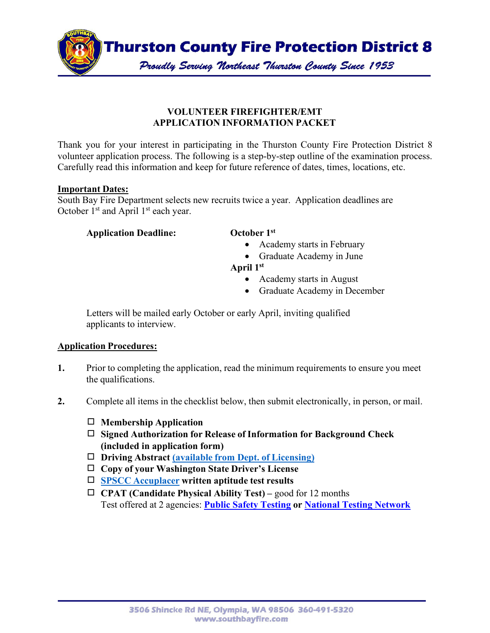

## **VOLUNTEER FIREFIGHTER/EMT APPLICATION INFORMATION PACKET**

Thank you for your interest in participating in the Thurston County Fire Protection District 8 volunteer application process. The following is a step-by-step outline of the examination process. Carefully read this information and keep for future reference of dates, times, locations, etc.

### **Important Dates:**

South Bay Fire Department selects new recruits twice a year. Application deadlines are October  $1<sup>st</sup>$  and April  $1<sup>st</sup>$  each year.

### **Application Deadline: October 1st**

- Academy starts in February
- Graduate Academy in June
- **April 1st**
	- Academy starts in August
	- Graduate Academy in December

Letters will be mailed early October or early April, inviting qualified applicants to interview.

## **Application Procedures:**

- **1.** Prior to completing the application, read the minimum requirements to ensure you meet the qualifications.
- **2.** Complete all items in the checklist below, then submit electronically, in person, or mail.
	- ◻ **Membership Application**
	- ◻ **Signed Authorization for Release of Information for Background Check (included in application form)**
	- ◻ **Driving Abstract (available from [Dept. of Licensing\)](https://www.dol.wa.gov/driverslicense/requestyourrecord.html)**
	- ◻ **Copy of your Washington State Driver's License**
	- ◻ **SPSCC [Accuplacer](https://spscc.edu/students/testing) written aptitude test results**
	- ◻ **CPAT (Candidate Physical Ability Test)** good for 12 months Test offered at 2 agencies: **Public Safety [Testing](https://www.publicsafetytesting.com/information-center/test-requirements-firefighter-physical/) or Nation[al Testing](https://nationaltestingnetwork.com/publicsafetyjobs/cpat_info.cfm) Network**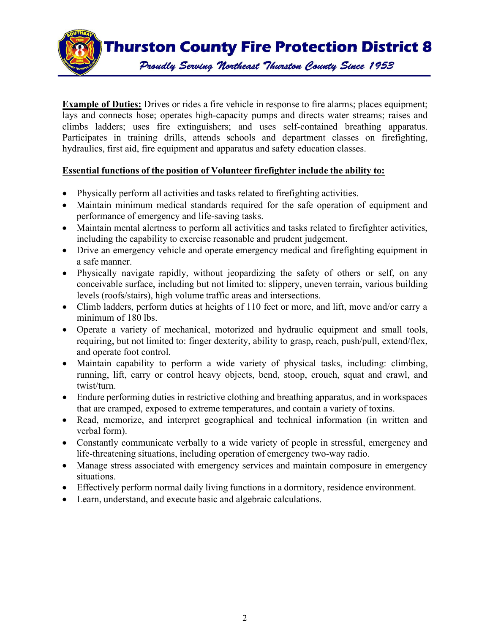

**Example of Duties:** Drives or rides a fire vehicle in response to fire alarms; places equipment; lays and connects hose; operates high-capacity pumps and directs water streams; raises and climbs ladders; uses fire extinguishers; and uses self-contained breathing apparatus. Participates in training drills, attends schools and department classes on firefighting, hydraulics, first aid, fire equipment and apparatus and safety education classes.

# **Essential functions of the position of Volunteer firefighter include the ability to:**

- Physically perform all activities and tasks related to firefighting activities.
- Maintain minimum medical standards required for the safe operation of equipment and performance of emergency and life-saving tasks.
- Maintain mental alertness to perform all activities and tasks related to firefighter activities, including the capability to exercise reasonable and prudent judgement.
- Drive an emergency vehicle and operate emergency medical and firefighting equipment in a safe manner.
- Physically navigate rapidly, without jeopardizing the safety of others or self, on any conceivable surface, including but not limited to: slippery, uneven terrain, various building levels (roofs/stairs), high volume traffic areas and intersections.
- Climb ladders, perform duties at heights of 110 feet or more, and lift, move and/or carry a minimum of 180 lbs.
- Operate a variety of mechanical, motorized and hydraulic equipment and small tools, requiring, but not limited to: finger dexterity, ability to grasp, reach, push/pull, extend/flex, and operate foot control.
- Maintain capability to perform a wide variety of physical tasks, including: climbing, running, lift, carry or control heavy objects, bend, stoop, crouch, squat and crawl, and twist/turn.
- Endure performing duties in restrictive clothing and breathing apparatus, and in workspaces that are cramped, exposed to extreme temperatures, and contain a variety of toxins.
- Read, memorize, and interpret geographical and technical information (in written and verbal form).
- Constantly communicate verbally to a wide variety of people in stressful, emergency and life-threatening situations, including operation of emergency two-way radio.
- Manage stress associated with emergency services and maintain composure in emergency situations.
- Effectively perform normal daily living functions in a dormitory, residence environment.
- Learn, understand, and execute basic and algebraic calculations.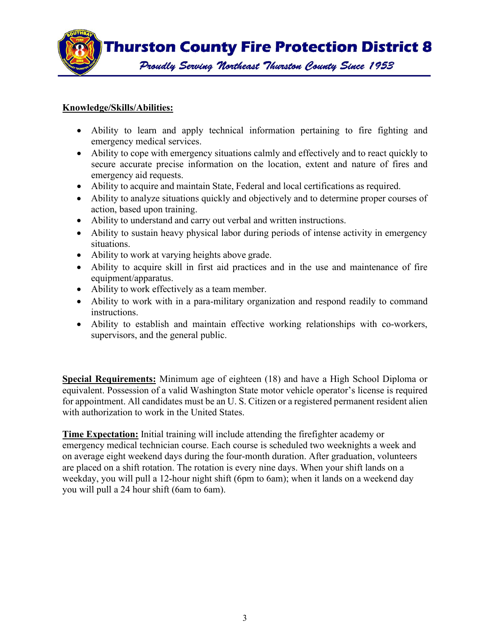

# **Knowledge/Skills/Abilities:**

- Ability to learn and apply technical information pertaining to fire fighting and emergency medical services.
- Ability to cope with emergency situations calmly and effectively and to react quickly to secure accurate precise information on the location, extent and nature of fires and emergency aid requests.
- Ability to acquire and maintain State, Federal and local certifications as required.
- Ability to analyze situations quickly and objectively and to determine proper courses of action, based upon training.
- Ability to understand and carry out verbal and written instructions.
- Ability to sustain heavy physical labor during periods of intense activity in emergency situations.
- Ability to work at varying heights above grade.
- Ability to acquire skill in first aid practices and in the use and maintenance of fire equipment/apparatus.
- Ability to work effectively as a team member.
- Ability to work with in a para-military organization and respond readily to command instructions.
- Ability to establish and maintain effective working relationships with co-workers, supervisors, and the general public.

**Special Requirements:** Minimum age of eighteen (18) and have a High School Diploma or equivalent. Possession of a valid Washington State motor vehicle operator's license is required for appointment. All candidates must be an U. S. Citizen or a registered permanent resident alien with authorization to work in the United States.

**Time Expectation:** Initial training will include attending the firefighter academy or emergency medical technician course. Each course is scheduled two weeknights a week and on average eight weekend days during the four-month duration. After graduation, volunteers are placed on a shift rotation. The rotation is every nine days. When your shift lands on a weekday, you will pull a 12-hour night shift (6pm to 6am); when it lands on a weekend day you will pull a 24 hour shift (6am to 6am).